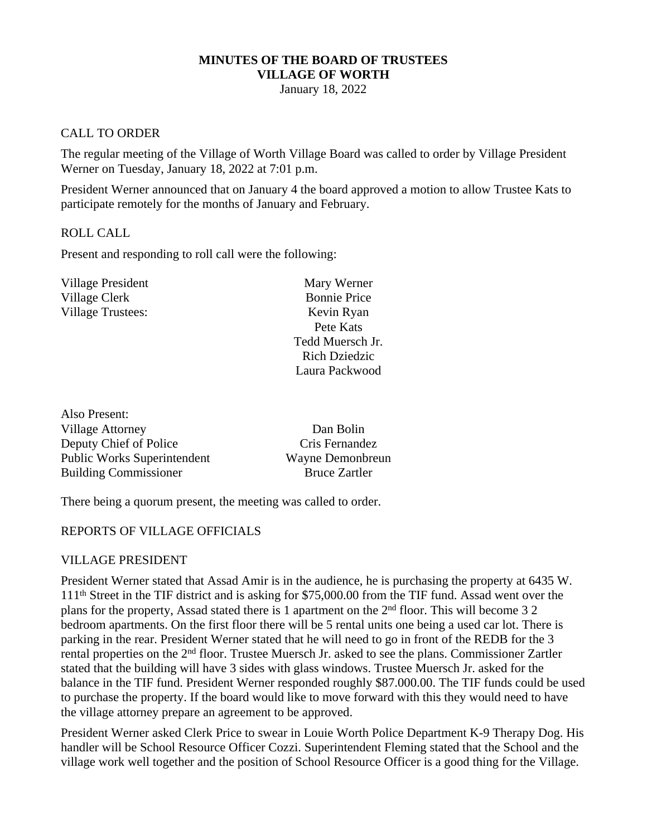#### **MINUTES OF THE BOARD OF TRUSTEES VILLAGE OF WORTH**

January 18, 2022

#### CALL TO ORDER

The regular meeting of the Village of Worth Village Board was called to order by Village President Werner on Tuesday, January 18, 2022 at 7:01 p.m.

President Werner announced that on January 4 the board approved a motion to allow Trustee Kats to participate remotely for the months of January and February.

#### ROLL CALL

Also Present:

Present and responding to roll call were the following:

| Village President        | Mary Werner          |
|--------------------------|----------------------|
| Village Clerk            | <b>Bonnie Price</b>  |
| <b>Village Trustees:</b> | Kevin Ryan           |
|                          | Pete Kats            |
|                          | Tedd Muersch Jr.     |
|                          | <b>Rich Dziedzic</b> |
|                          | Laura Packwood       |
|                          |                      |

| 7 1190 T TOBUIL.                   |                      |
|------------------------------------|----------------------|
| Village Attorney                   | Dan Bolin            |
| Deputy Chief of Police             | Cris Fernandez       |
| <b>Public Works Superintendent</b> | Wayne Demonbreun     |
| <b>Building Commissioner</b>       | <b>Bruce Zartler</b> |
|                                    |                      |

There being a quorum present, the meeting was called to order.

#### REPORTS OF VILLAGE OFFICIALS

#### VILLAGE PRESIDENT

President Werner stated that Assad Amir is in the audience, he is purchasing the property at 6435 W. 111th Street in the TIF district and is asking for \$75,000.00 from the TIF fund. Assad went over the plans for the property, Assad stated there is 1 apartment on the 2nd floor. This will become 3 2 bedroom apartments. On the first floor there will be 5 rental units one being a used car lot. There is parking in the rear. President Werner stated that he will need to go in front of the REDB for the 3 rental properties on the 2nd floor. Trustee Muersch Jr. asked to see the plans. Commissioner Zartler stated that the building will have 3 sides with glass windows. Trustee Muersch Jr. asked for the balance in the TIF fund. President Werner responded roughly \$87.000.00. The TIF funds could be used to purchase the property. If the board would like to move forward with this they would need to have the village attorney prepare an agreement to be approved.

President Werner asked Clerk Price to swear in Louie Worth Police Department K-9 Therapy Dog. His handler will be School Resource Officer Cozzi. Superintendent Fleming stated that the School and the village work well together and the position of School Resource Officer is a good thing for the Village.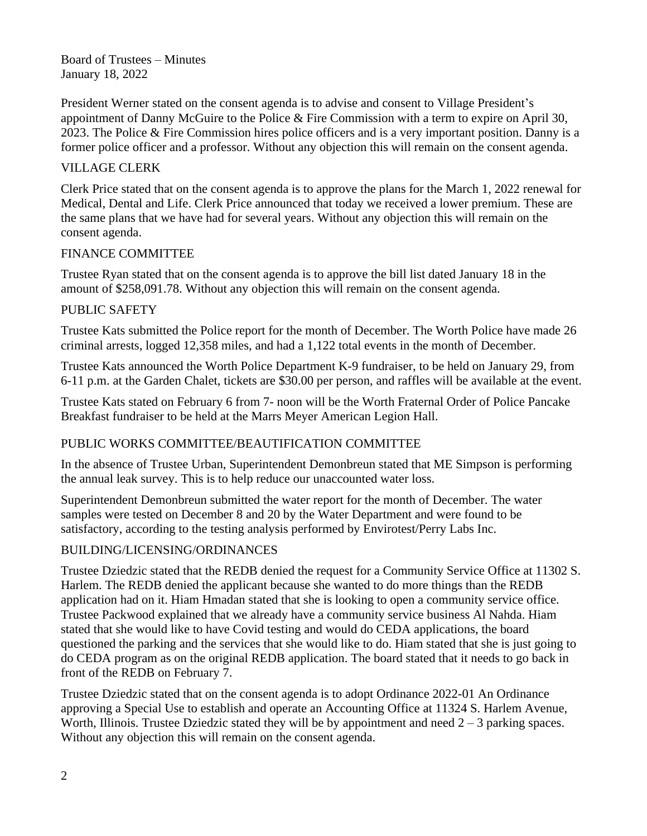Board of Trustees – Minutes January 18, 2022

President Werner stated on the consent agenda is to advise and consent to Village President's appointment of Danny McGuire to the Police & Fire Commission with a term to expire on April 30, 2023. The Police & Fire Commission hires police officers and is a very important position. Danny is a former police officer and a professor. Without any objection this will remain on the consent agenda.

# VILLAGE CLERK

Clerk Price stated that on the consent agenda is to approve the plans for the March 1, 2022 renewal for Medical, Dental and Life. Clerk Price announced that today we received a lower premium. These are the same plans that we have had for several years. Without any objection this will remain on the consent agenda.

## FINANCE COMMITTEE

Trustee Ryan stated that on the consent agenda is to approve the bill list dated January 18 in the amount of \$258,091.78. Without any objection this will remain on the consent agenda.

## PUBLIC SAFETY

Trustee Kats submitted the Police report for the month of December. The Worth Police have made 26 criminal arrests, logged 12,358 miles, and had a 1,122 total events in the month of December.

Trustee Kats announced the Worth Police Department K-9 fundraiser, to be held on January 29, from 6-11 p.m. at the Garden Chalet, tickets are \$30.00 per person, and raffles will be available at the event.

Trustee Kats stated on February 6 from 7- noon will be the Worth Fraternal Order of Police Pancake Breakfast fundraiser to be held at the Marrs Meyer American Legion Hall.

## PUBLIC WORKS COMMITTEE/BEAUTIFICATION COMMITTEE

In the absence of Trustee Urban, Superintendent Demonbreun stated that ME Simpson is performing the annual leak survey. This is to help reduce our unaccounted water loss.

Superintendent Demonbreun submitted the water report for the month of December. The water samples were tested on December 8 and 20 by the Water Department and were found to be satisfactory, according to the testing analysis performed by Envirotest/Perry Labs Inc.

## BUILDING/LICENSING/ORDINANCES

Trustee Dziedzic stated that the REDB denied the request for a Community Service Office at 11302 S. Harlem. The REDB denied the applicant because she wanted to do more things than the REDB application had on it. Hiam Hmadan stated that she is looking to open a community service office. Trustee Packwood explained that we already have a community service business Al Nahda. Hiam stated that she would like to have Covid testing and would do CEDA applications, the board questioned the parking and the services that she would like to do. Hiam stated that she is just going to do CEDA program as on the original REDB application. The board stated that it needs to go back in front of the REDB on February 7.

Trustee Dziedzic stated that on the consent agenda is to adopt Ordinance 2022-01 An Ordinance approving a Special Use to establish and operate an Accounting Office at 11324 S. Harlem Avenue, Worth, Illinois. Trustee Dziedzic stated they will be by appointment and need  $2 - 3$  parking spaces. Without any objection this will remain on the consent agenda.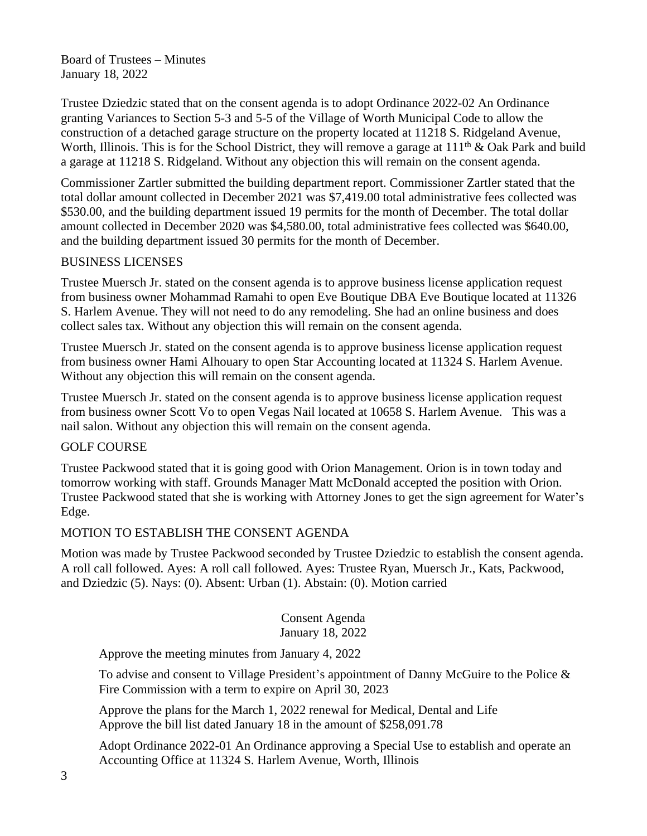Board of Trustees – Minutes January 18, 2022

Trustee Dziedzic stated that on the consent agenda is to adopt Ordinance 2022-02 An Ordinance granting Variances to Section 5-3 and 5-5 of the Village of Worth Municipal Code to allow the construction of a detached garage structure on the property located at 11218 S. Ridgeland Avenue, Worth, Illinois. This is for the School District, they will remove a garage at  $111<sup>th</sup>$  & Oak Park and build a garage at 11218 S. Ridgeland. Without any objection this will remain on the consent agenda.

Commissioner Zartler submitted the building department report. Commissioner Zartler stated that the total dollar amount collected in December 2021 was \$7,419.00 total administrative fees collected was \$530.00, and the building department issued 19 permits for the month of December. The total dollar amount collected in December 2020 was \$4,580.00, total administrative fees collected was \$640.00, and the building department issued 30 permits for the month of December.

#### BUSINESS LICENSES

Trustee Muersch Jr. stated on the consent agenda is to approve business license application request from business owner Mohammad Ramahi to open Eve Boutique DBA Eve Boutique located at 11326 S. Harlem Avenue. They will not need to do any remodeling. She had an online business and does collect sales tax. Without any objection this will remain on the consent agenda.

Trustee Muersch Jr. stated on the consent agenda is to approve business license application request from business owner Hami Alhouary to open Star Accounting located at 11324 S. Harlem Avenue. Without any objection this will remain on the consent agenda.

Trustee Muersch Jr. stated on the consent agenda is to approve business license application request from business owner Scott Vo to open Vegas Nail located at 10658 S. Harlem Avenue. This was a nail salon. Without any objection this will remain on the consent agenda.

## GOLF COURSE

Trustee Packwood stated that it is going good with Orion Management. Orion is in town today and tomorrow working with staff. Grounds Manager Matt McDonald accepted the position with Orion. Trustee Packwood stated that she is working with Attorney Jones to get the sign agreement for Water's Edge.

#### MOTION TO ESTABLISH THE CONSENT AGENDA

Motion was made by Trustee Packwood seconded by Trustee Dziedzic to establish the consent agenda. A roll call followed. Ayes: A roll call followed. Ayes: Trustee Ryan, Muersch Jr., Kats, Packwood, and Dziedzic (5). Nays: (0). Absent: Urban (1). Abstain: (0). Motion carried

#### Consent Agenda January 18, 2022

Approve the meeting minutes from January 4, 2022

To advise and consent to Village President's appointment of Danny McGuire to the Police  $\&$ Fire Commission with a term to expire on April 30, 2023

Approve the plans for the March 1, 2022 renewal for Medical, Dental and Life Approve the bill list dated January 18 in the amount of \$258,091.78

Adopt Ordinance 2022-01 An Ordinance approving a Special Use to establish and operate an Accounting Office at 11324 S. Harlem Avenue, Worth, Illinois